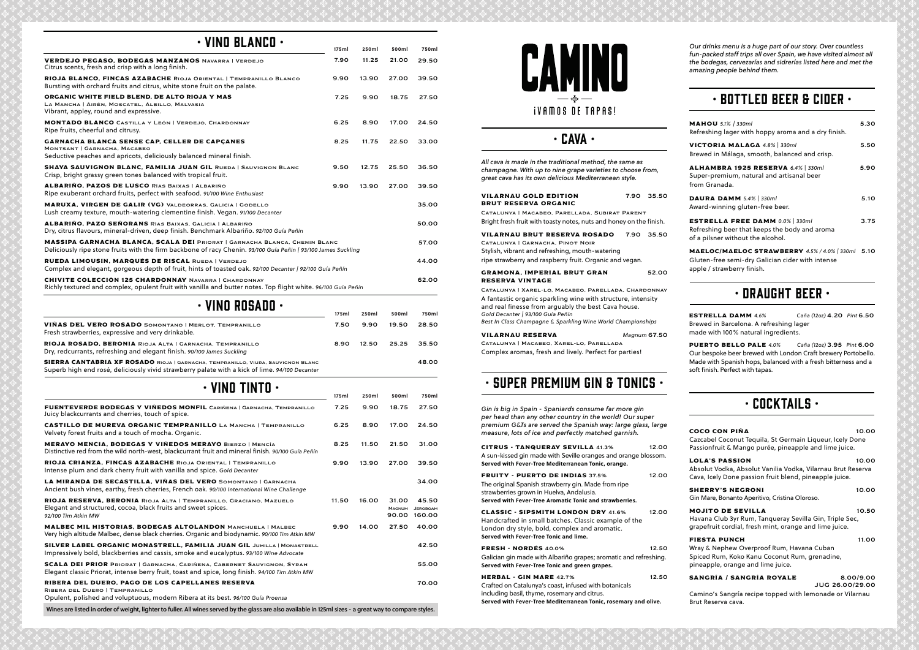| COCO CON PIÑA                                                                                                                                          | 10.00                               |
|--------------------------------------------------------------------------------------------------------------------------------------------------------|-------------------------------------|
| Cazcabel Coconut Tequila, St Germain Liqueur, Icely Done<br>Passionfruit & Mango purée, pineapple and lime juice.                                      |                                     |
| <b>LOLA'S PASSION</b><br>Absolut Vodka, Absolut Vanilia Vodka, Vilarnau Brut Reserva<br>Cava, Icely Done passion fruit blend, pineapple juice.         | 10.00                               |
| <b>SHERRY'S NEGRONI</b><br>Gin Mare, Bonanto Aperitivo, Cristina Oloroso.                                                                              | 10.00                               |
| <b>MOJITO DE SEVILLA</b><br>Havana Club 3yr Rum, Tanqueray Sevilla Gin, Triple Sec,<br>grapefruit cordial, fresh mint, orange and lime juice.          | 10.50                               |
| <b>FIESTA PUNCH</b><br>Wray & Nephew Overproof Rum, Havana Cuban<br>Spiced Rum, Koko Kanu Coconut Rum, grenadine,<br>pineapple, orange and lime juice. | 11.00                               |
| SANGRÍA / SANGRÍA ROYALE                                                                                                                               | 8.00/9.00<br><b>JUG 26.00/29.00</b> |
| Canalus La Cananda na alus kamma di wiki bana ama da san Vilanus                                                                                       |                                     |

Camino's Sangría recipe topped with lemonade or Vilarnau Brut Reserva cava.

#### • CAVA •

*Our drinks menu is a huge part of our story. Over countless fun-packed staff trips all over Spain, we have visited almost all the bodegas, cervezarías and sidrerías listed here and met the amazing people behind them.* 

| All cava is made in the traditional method, the same as<br>champagne. With up to nine grape varieties to choose from,<br>great cava has its own delicious Mediterranean style.                                                                                                   |              |
|----------------------------------------------------------------------------------------------------------------------------------------------------------------------------------------------------------------------------------------------------------------------------------|--------------|
| <b>VILARNAU GOLD EDITION</b><br><b>BRUT RESERVA ORGANIC</b><br>CATALUNYA   MACABEO, PARELLADA, SUBIRAT PARENT                                                                                                                                                                    | 7.90 35.50   |
| Bright fresh fruit with toasty notes, nuts and honey on the finish.                                                                                                                                                                                                              |              |
| <b>VILARNAU BRUT RESERVA ROSADO</b><br>7.90<br>CATALUNYA   GARNACHA, PINOT NOIR<br>Stylish, vibrant and refreshing, mouth-watering<br>ripe strawberry and raspberry fruit. Organic and vegan.                                                                                    | 35.50        |
| <b>GRAMONA, IMPERIAL BRUT GRAN</b><br><b>RESERVA VINTAGE</b>                                                                                                                                                                                                                     | 52.00        |
| CATALUNYA   XAREL-LO, MACABEO, PARELLADA, CHARDONNAY<br>A fantastic organic sparkling wine with structure, intensity<br>and real finesse from arguably the best Cava house.<br>Gold Decanter   93/100 Guía Peñín<br>Best In Class Champagne & Sparkling Wine World Championships |              |
| <b>VILARNAU RESERVA</b><br>CATALUNYA   MACABEO, XAREL-LO, PARELLADA<br>Complex aromas, fresh and lively. Perfect for parties!                                                                                                                                                    | Magnum 67.50 |
| $\cdot$ super premium gin & tonics $\cdot$                                                                                                                                                                                                                                       |              |
| Gin is big in Spain - Spaniards consume far more gin<br>per head than any other country in the world! Our super<br>premium G&Ts are served the Spanish way: large glass, large<br>measure, lots of ice and perfectly matched garnish.                                            |              |
| <b>CITRUS - TANQUERAY SEVILLA 41.3%</b><br>A sun-kissed gin made with Seville oranges and orange blossom.<br>Served with Fever-Tree Mediterranean Tonic, orange.                                                                                                                 | 12.00        |
| <b>FRUITY - PUERTO DE INDIAS 37.5%</b><br>The original Spanish strawberry gin. Made from ripe<br>strawberries grown in Huelva, Andalusia.<br>Served with Fever-Tree Aromatic Tonic and strawberries.                                                                             | 12.00        |
| <b>CLASSIC - SIPSMITH LONDON DRY 41.6%</b><br>Handcrafted in small batches. Classic example of the<br>London dry style, bold, complex and aromatic.<br>Served with Fever-Tree Tonic and lime.                                                                                    | 12.00        |
| FRESH - NORDÉS 40.0%<br>Galician gin made with Albariño grapes; aromatic and refreshing.<br>Served with Fever-Tree Tonic and green grapes.                                                                                                                                       | 12.50        |
| <b>HERBAL - GIN MARE 42.7%</b><br>Crafted on Catalunya's coast, infused with botanicals<br>including basil, thyme, rosemary and citrus.                                                                                                                                          | 12.50        |

**Served with Fever-Tree Mediterranean Tonic, rosemary and olive.**

## • Bottled BEER & CIDER •

| <b>MAHOU</b> 5.1%   330ml<br>Refreshing lager with hoppy aroma and a dry finish.                                           | 5.30 |
|----------------------------------------------------------------------------------------------------------------------------|------|
| VICTORIA MALAGA 4.8%   330ml<br>Brewed in Málaga, smooth, balanced and crisp.                                              | 5.50 |
| ALHAMBRA 1925 RESERVA 6.4% 330ml<br>Super-premium, natural and artisanal beer<br>from Granada.                             | 5.90 |
| DAURA DAMM 5.4%   330ml<br>Award-winning gluten-free beer.                                                                 | 5.10 |
| <b>ESTRELLA FREE DAMM 0.0% 330ml</b><br>Refreshing beer that keeps the body and aroma<br>of a pilsner without the alcohol. | 3.75 |
| MAELOC/MAELOC STRAWBERRY 4.5% / 4.0%   330ml 5.10<br>Gluten-free semi-dry Galician cider with intense                      |      |

apple / strawberry finish.

## • Draught Beer •

ESTRELLA DAMM *4.6% Caña (12oz)* 4.20 *Pint* 6.50 Brewed in Barcelona. A refreshing lager made with 100% natural ingredients.

PUERTO BELLO PALE *4.0% Caña (12oz)* 3.95 *Pint* 6.00 Our bespoke beer brewed with London Craft brewery Portobello. Made with Spanish hops, balanced with a fresh bitterness and a soft finish. Perfect with tapas.

## $\cdot$  Cocktails  $\cdot$

| $\cdot$ vino blanco $\cdot$                                                                                                                                                                         | 175ml | 250ml | 500ml | 750ml |
|-----------------------------------------------------------------------------------------------------------------------------------------------------------------------------------------------------|-------|-------|-------|-------|
|                                                                                                                                                                                                     |       |       |       |       |
| VERDEJO PEGASO, BODEGAS MANZANOS NAVARRA   VERDEJO<br>Citrus scents, fresh and crisp with a long finish.                                                                                            | 7.90  | 11.25 | 21.00 | 29.50 |
| RIOJA BLANCO, FINCAS AZABACHE RIOJA ORIENTAL   TEMPRANILLO BLANCO<br>Bursting with orchard fruits and citrus, white stone fruit on the palate.                                                      | 9.90  | 13.90 | 27.00 | 39.50 |
| ORGANIC WHITE FIELD BLEND, DE ALTO RIOJA Y MAS<br>LA MANCHA   AIRÉN, MOSCATEL, ALBILLO, MALVASIA<br>Vibrant, appley, round and expressive.                                                          | 7.25  | 9.90  | 18.75 | 27.50 |
| <b>MONTADO BLANCO</b> CASTILLA Y LEÓN   VERDEJO, CHARDONNAY<br>Ripe fruits, cheerful and citrusy.                                                                                                   | 6.25  | 8.90  | 17.00 | 24.50 |
| <b>GARNACHA BLANCA SENSE CAP, CELLER DE CAPCANES</b><br>MONTSANT   GARNACHA, MACABEO<br>Seductive peaches and apricots, deliciously balanced mineral finish.                                        | 8.25  | 11.75 | 22.50 | 33.00 |
| <b>SHAYA SAUVIGNON BLANC, FAMILIA JUAN GIL RUEDA   SAUVIGNON BLANC</b><br>Crisp, bright grassy green tones balanced with tropical fruit.                                                            | 9.50  | 12.75 | 25.50 | 36.50 |
| <b>ALBARIÑO, PAZOS DE LUSCO RÍAS BAIXAS   ALBARIÑO</b><br>Ripe exuberant orchard fruits, perfect with seafood. 91/100 Wine Enthusiast                                                               | 9.90  | 13.90 | 27.00 | 39.50 |
| <b>MARUXA, VIRGEN DE GALIR (VG) VALDEORRAS, GALICIA   GODELLO</b><br>Lush creamy texture, mouth-watering clementine finish. Vegan. 91/100 Decanter                                                  |       |       |       | 35.00 |
| <b>ALBARIÑO, PAZO SEÑORANS RÍAS BAIXAS, GALICIA   ALBARIÑO</b><br>Dry, citrus flavours, mineral-driven, deep finish. Benchmark Albariño. 92/100 Guía Peñin                                          |       |       |       | 50.00 |
| <b>MASSIPA GARNACHA BLANCA, SCALA DEI PRIORAT   GARNACHA BLANCA, CHENIN BLANC</b><br>Deliciously ripe stone fruits with the firm backbone of racy Chenin. 93/100 Guía Peñin   93/100 James Suckling |       |       |       | 57.00 |
| RUEDA LIMOUSIN, MARQUÉS DE RISCAL RUEDA   VERDEJO<br>Complex and elegant, gorgeous depth of fruit, hints of toasted oak. 92/100 Decanter   92/100 Guía Peñín                                        |       |       |       | 44.00 |
| <b>CHIVITE COLECCIÓN 125 CHARDONNAY NAVARRA   CHARDONNAY</b><br>Richly textured and complex, opulent fruit with vanilla and butter notes. Top flight white. 96/100 Guía Peñín                       |       |       |       | 62.00 |
| VINO ROSADO<br>$\bullet$                                                                                                                                                                            |       |       |       |       |
|                                                                                                                                                                                                     | 175ml | 250ml | 500ml | 750ml |
| VIÑAS DEL VERO ROSADO SOMONTANO   MERLOT, TEMPRANILLO                                                                                                                                               | 7.50  | 9.90  | 19.50 | 28.50 |

| VINAS DEL VERO ROSADO SOMONTANO   MERLOT. TEMPRANILLO<br>Fresh strawberries, expressive and very drinkable.                                                                        | 7.50. |       | 9.90 19.50 28.50 |       |
|------------------------------------------------------------------------------------------------------------------------------------------------------------------------------------|-------|-------|------------------|-------|
| RIOJA ROSADO, BERONIA RIOJA ALTA   GARNACHA, TEMPRANILLO<br>Dry, redcurrants, refreshing and elegant finish. 90/100 James Suckling                                                 | 8.90  | 12.50 | 25.25            | 35.50 |
| SIERRA CANTABRIA XF ROSADO RIOJA   GARNACHA, TEMPRANILLO, VIURA, SAUVIGNON BLANC<br>Superb high end rosé, deliciously vivid strawberry palate with a kick of lime. 94/100 Decanter |       |       |                  | 48.00 |

## $\cdot$  VINO TINTO  $\cdot$

|                                                                                                                                                                                   | 175ml | 250ml | 500ml                           | 750ml                              |
|-----------------------------------------------------------------------------------------------------------------------------------------------------------------------------------|-------|-------|---------------------------------|------------------------------------|
| FUENTEVERDE BODEGAS Y VIÑEDOS MONFIL CARIÑENA   GARNACHA, TEMPRANILLO<br>Juicy blackcurrants and cherries, touch of spice.                                                        | 7.25  | 9.90  | 18.75                           | 27.50                              |
| <b>CASTILLO DE MUREVA ORGANIC TEMPRANILLO LA MANCHA   TEMPRANILLO</b><br>Velvety forest fruits and a touch of mocha. Organic.                                                     | 6.25  | 8.90  | 17.00                           | 24.50                              |
| <b>MERAYO MENCIA. BODEGAS Y VIÑEDOS MERAYO BIERZO   MENCÍA</b><br>Distinctive red from the wild north-west, blackcurrant fruit and mineral finish. 90/100 Guía Peñín              | 8.25  | 11.50 | 21.50                           | 31.00                              |
| RIOJA CRIANZA, FINCAS AZABACHE RIOJA ORIENTAL   TEMPRANILLO<br>Intense plum and dark cherry fruit with vanilla and spice. Gold Decanter                                           | 9.90  | 13.90 | 27.00                           | 39.50                              |
| LA MIRANDA DE SECASTILLA, VIÑAS DEL VERO SOMONTANO   GARNACHA<br>Ancient bush vines, earthy, fresh cherries, French oak. 90/100 International Wine Challenge                      |       |       |                                 | 34.00                              |
| RIOJA RESERVA, BERONIA RIOJA ALTA   TEMPRANILLO, GRACIANO, MAZUELO<br>Elegant and structured, cocoa, black fruits and sweet spices.<br>92/100 Tim Atkin MW                        | 11.50 | 16.00 | 31.00<br><b>MAGNUM</b><br>90.00 | 45.50<br><b>JEROBOAM</b><br>160.00 |
| <b>MALBEC MIL HISTORIAS, BODEGAS ALTOLANDON MANCHUELA   MALBEC</b><br>Very high altitude Malbec, dense black cherries. Organic and biodynamic. 90/100 Tim Atkin MW                | 9.90  | 14.00 | 27.50                           | 40.00                              |
| SILVER LABEL ORGANIC MONASTRELL, FAMILIA JUAN GIL JUMILLA   MONASTRELL<br>Impressively bold, blackberries and cassis, smoke and eucalyptus. 93/100 Wine Advocate                  |       |       |                                 | 42.50                              |
| <b>SCALA DEI PRIOR</b> PRIORAT   GARNACHA, CARIÑENA, CABERNET SAUVIGNON, SYRAH<br>Elegant classic Priorat, intense berry fruit, toast and spice, long finish. 94/100 Tim Atkin MW |       |       |                                 | 55.00                              |
| RIBERA DEL DUERO. PAGO DE LOS CAPELLANES RESERVA<br>RIBERA DEL DUERO   TEMPRANILLO<br>Opulent, polished and voluptuous, modern Ribera at its best. 96/100 Guía Proensa            |       |       |                                 | 70.00                              |
| Wines are listed in order of weight, lighter to fuller. All wines served by the glass are also available in 125ml sizes - a great way to compare styles.                          |       |       |                                 |                                    |